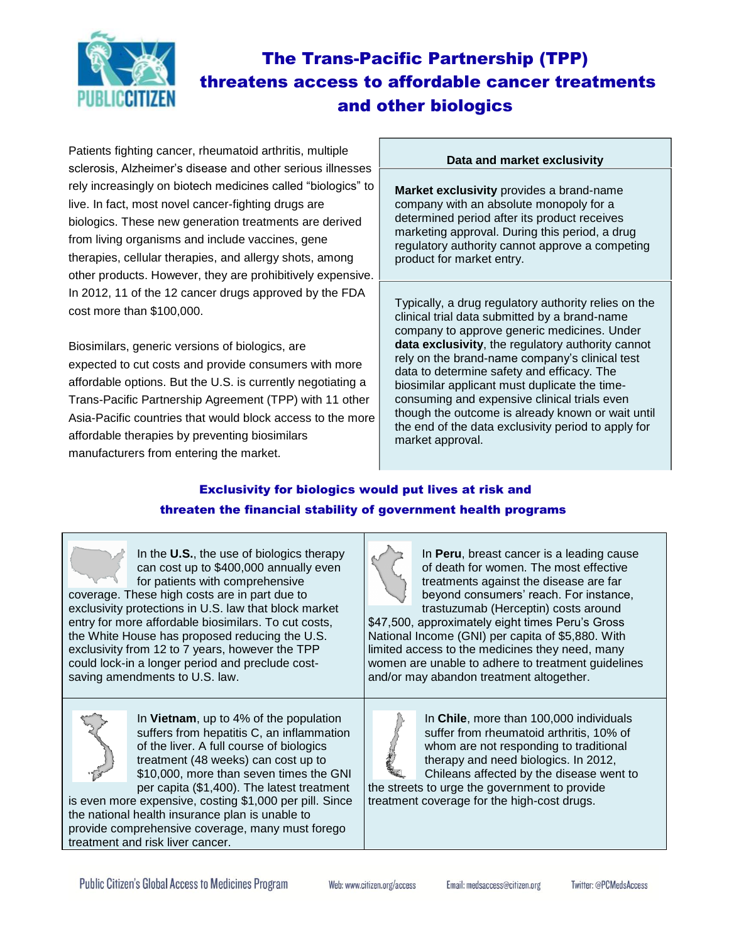

# The Trans-Pacific Partnership (TPP) threatens access to affordable cancer treatments and other biologics

Patients fighting cancer, rheumatoid arthritis, multiple sclerosis, Alzheimer's disease and other serious illnesses rely increasingly on biotech medicines called "biologics" to live. In fact, most novel cancer-fighting drugs are biologics. These new generation treatments are derived from living organisms and include vaccines, gene therapies, cellular therapies, and allergy shots, among other products. However, they are prohibitively expensive. In 2012, 11 of the 12 cancer drugs approved by the FDA cost more than \$100,000.

Biosimilars, generic versions of biologics, are expected to cut costs and provide consumers with more affordable options. But the U.S. is currently negotiating a Trans-Pacific Partnership Agreement (TPP) with 11 other Asia-Pacific countries that would block access to the more affordable therapies by preventing biosimilars manufacturers from entering the market.

#### **Data and market exclusivity**

**Market exclusivity** provides a brand-name company with an absolute monopoly for a determined period after its product receives marketing approval. During this period, a drug regulatory authority cannot approve a competing product for market entry.

Typically, a drug regulatory authority relies on the clinical trial data submitted by a brand-name company to approve generic medicines. Under **data exclusivity**, the regulatory authority cannot rely on the brand-name company's clinical test data to determine safety and efficacy. The biosimilar applicant must duplicate the timeconsuming and expensive clinical trials even though the outcome is already known or wait until the end of the data exclusivity period to apply for market approval.

## Exclusivity for biologics would put lives at risk and threaten the financial stability of government health programs

| In the U.S., the use of biologics therapy                                                                                                                                                                                                                                                                                                                                                                                         | In Peru, breast cancer is a leading cause                                                                                                                                                                                                                                                                         |
|-----------------------------------------------------------------------------------------------------------------------------------------------------------------------------------------------------------------------------------------------------------------------------------------------------------------------------------------------------------------------------------------------------------------------------------|-------------------------------------------------------------------------------------------------------------------------------------------------------------------------------------------------------------------------------------------------------------------------------------------------------------------|
| can cost up to \$400,000 annually even                                                                                                                                                                                                                                                                                                                                                                                            | of death for women. The most effective                                                                                                                                                                                                                                                                            |
| for patients with comprehensive                                                                                                                                                                                                                                                                                                                                                                                                   | treatments against the disease are far                                                                                                                                                                                                                                                                            |
| coverage. These high costs are in part due to                                                                                                                                                                                                                                                                                                                                                                                     | beyond consumers' reach. For instance,                                                                                                                                                                                                                                                                            |
| exclusivity protections in U.S. law that block market                                                                                                                                                                                                                                                                                                                                                                             | trastuzumab (Herceptin) costs around                                                                                                                                                                                                                                                                              |
| entry for more affordable biosimilars. To cut costs,                                                                                                                                                                                                                                                                                                                                                                              | \$47,500, approximately eight times Peru's Gross                                                                                                                                                                                                                                                                  |
| the White House has proposed reducing the U.S.                                                                                                                                                                                                                                                                                                                                                                                    | National Income (GNI) per capita of \$5,880. With                                                                                                                                                                                                                                                                 |
| exclusivity from 12 to 7 years, however the TPP                                                                                                                                                                                                                                                                                                                                                                                   | limited access to the medicines they need, many                                                                                                                                                                                                                                                                   |
| could lock-in a longer period and preclude cost-                                                                                                                                                                                                                                                                                                                                                                                  | women are unable to adhere to treatment guidelines                                                                                                                                                                                                                                                                |
| saving amendments to U.S. law.                                                                                                                                                                                                                                                                                                                                                                                                    | and/or may abandon treatment altogether.                                                                                                                                                                                                                                                                          |
| In Vietnam, up to 4% of the population<br>suffers from hepatitis C, an inflammation<br>of the liver. A full course of biologics<br>treatment (48 weeks) can cost up to<br>\$10,000, more than seven times the GNI<br>per capita (\$1,400). The latest treatment<br>is even more expensive, costing \$1,000 per pill. Since<br>the national health insurance plan is unable to<br>provide comprehensive coverage, many must forego | In Chile, more than 100,000 individuals<br>suffer from rheumatoid arthritis, 10% of<br>whom are not responding to traditional<br>therapy and need biologics. In 2012,<br>Chileans affected by the disease went to<br>the streets to urge the government to provide<br>treatment coverage for the high-cost drugs. |

treatment and risk liver cancer.